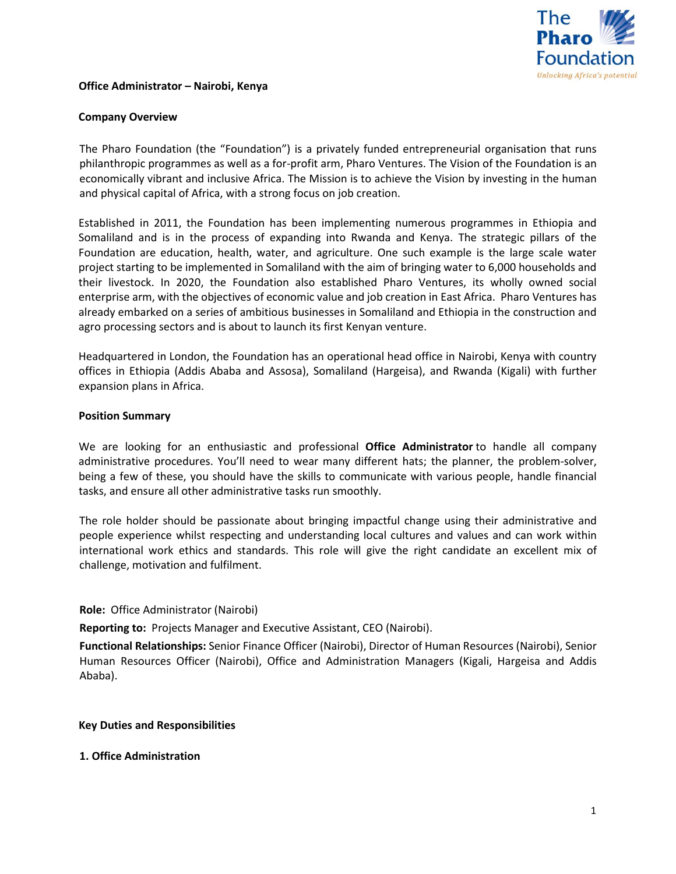

### **Office Administrator – Nairobi, Kenya**

### **Company Overview**

The Pharo Foundation (the "Foundation") is a privately funded entrepreneurial organisation that runs philanthropic programmes as well as a for-profit arm, Pharo Ventures. The Vision of the Foundation is an economically vibrant and inclusive Africa. The Mission is to achieve the Vision by investing in the human and physical capital of Africa, with a strong focus on job creation.

Established in 2011, the Foundation has been implementing numerous programmes in Ethiopia and Somaliland and is in the process of expanding into Rwanda and Kenya. The strategic pillars of the Foundation are education, health, water, and agriculture. One such example is the large scale water project starting to be implemented in Somaliland with the aim of bringing water to 6,000 households and their livestock. In 2020, the Foundation also established Pharo Ventures, its wholly owned social enterprise arm, with the objectives of economic value and job creation in East Africa. Pharo Ventures has already embarked on a series of ambitious businesses in Somaliland and Ethiopia in the construction and agro processing sectors and is about to launch its first Kenyan venture.

Headquartered in London, the Foundation has an operational head office in Nairobi, Kenya with country offices in Ethiopia (Addis Ababa and Assosa), Somaliland (Hargeisa), and Rwanda (Kigali) with further expansion plans in Africa.

### **Position Summary**

We are looking for an enthusiastic and professional **Office Administrator** to handle all company administrative procedures. You'll need to wear many different hats; the planner, the problem-solver, being a few of these, you should have the skills to communicate with various people, handle financial tasks, and ensure all other administrative tasks run smoothly.

The role holder should be passionate about bringing impactful change using their administrative and people experience whilst respecting and understanding local cultures and values and can work within international work ethics and standards. This role will give the right candidate an excellent mix of challenge, motivation and fulfilment.

### **Role:** Office Administrator (Nairobi)

**Reporting to:** Projects Manager and Executive Assistant, CEO (Nairobi).

**Functional Relationships:** Senior Finance Officer (Nairobi), Director of Human Resources (Nairobi), Senior Human Resources Officer (Nairobi), Office and Administration Managers (Kigali, Hargeisa and Addis Ababa).

### **Key Duties and Responsibilities**

### **1. Office Administration**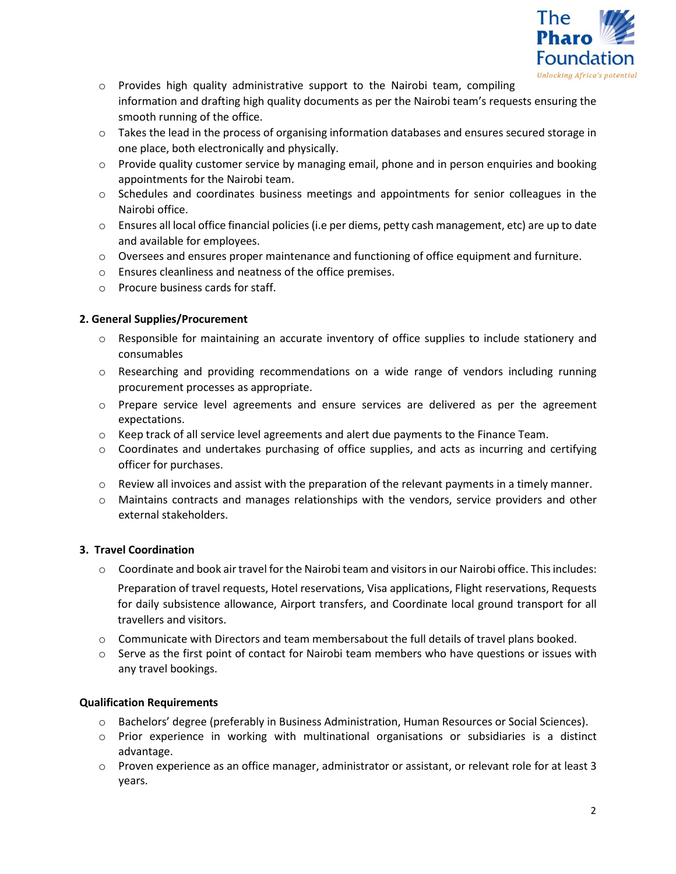

- $\circ$  Provides high quality administrative support to the Nairobi team, compiling information and drafting high quality documents as per the Nairobi team's requests ensuring the smooth running of the office.
- $\circ$  Takes the lead in the process of organising information databases and ensures secured storage in one place, both electronically and physically.
- $\circ$  Provide quality customer service by managing email, phone and in person enquiries and booking appointments for the Nairobi team.
- o Schedules and coordinates business meetings and appointments for senior colleagues in the Nairobi office.
- $\circ$  Ensures all local office financial policies (i.e per diems, petty cash management, etc) are up to date and available for employees.
- $\circ$  Oversees and ensures proper maintenance and functioning of office equipment and furniture.
- o Ensures cleanliness and neatness of the office premises.
- o Procure business cards for staff.

# **2. General Supplies/Procurement**

- o Responsible for maintaining an accurate inventory of office supplies to include stationery and consumables
- $\circ$  Researching and providing recommendations on a wide range of vendors including running procurement processes as appropriate.
- o Prepare service level agreements and ensure services are delivered as per the agreement expectations.
- $\circ$  Keep track of all service level agreements and alert due payments to the Finance Team.
- o Coordinates and undertakes purchasing of office supplies, and acts as incurring and certifying officer for purchases.
- $\circ$  Review all invoices and assist with the preparation of the relevant payments in a timely manner.
- $\circ$  Maintains contracts and manages relationships with the vendors, service providers and other external stakeholders.

# **3. Travel Coordination**

- $\circ$  Coordinate and book air travel for the Nairobi team and visitors in our Nairobi office. This includes: Preparation of travel requests, Hotel reservations, Visa applications, Flight reservations, Requests for daily subsistence allowance, Airport transfers, and Coordinate local ground transport for all travellers and visitors.
- $\circ$  Communicate with Directors and team membersabout the full details of travel plans booked.
- $\circ$  Serve as the first point of contact for Nairobi team members who have questions or issues with any travel bookings.

# **Qualification Requirements**

- o Bachelors' degree (preferably in Business Administration, Human Resources or Social Sciences).
- o Prior experience in working with multinational organisations or subsidiaries is a distinct advantage.
- $\circ$  Proven experience as an office manager, administrator or assistant, or relevant role for at least 3 years.